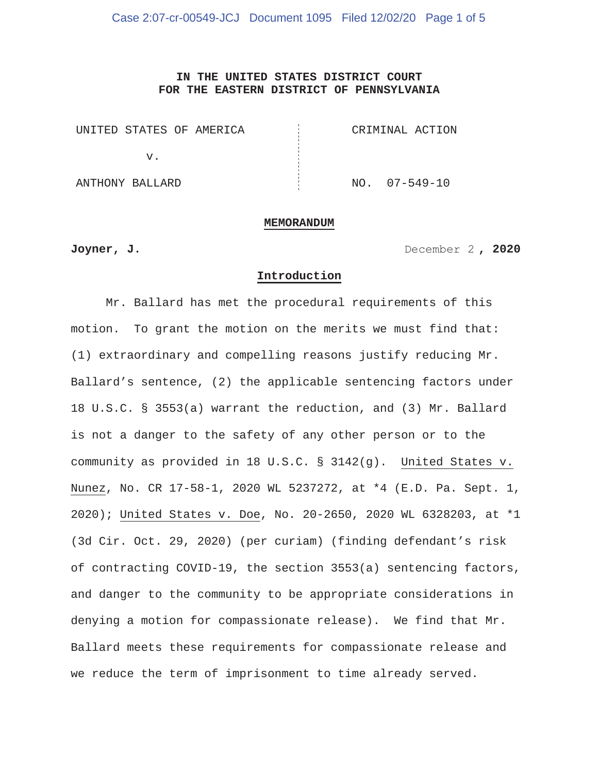# **IN THE UNITED STATES DISTRICT COURT FOR THE EASTERN DISTRICT OF PENNSYLVANIA**

| UNITED STATES OF AMERICA | CRIMINAL ACTION     |
|--------------------------|---------------------|
| v.                       |                     |
| ANTHONY BALLARD          | $NO. 07 - 549 - 10$ |

#### **MEMORANDUM**

Joyner, J. **Example 2 Joyner, J. December 2, 2020** 

# **Introduction**

Mr. Ballard has met the procedural requirements of this motion. To grant the motion on the merits we must find that: (1) extraordinary and compelling reasons justify reducing Mr. Ballard's sentence, (2) the applicable sentencing factors under 18 U.S.C. § 3553(a) warrant the reduction, and (3) Mr. Ballard is not a danger to the safety of any other person or to the community as provided in 18 U.S.C. § 3142(g). United States v. Nunez, No. CR 17-58-1, 2020 WL 5237272, at \*4 (E.D. Pa. Sept. 1, 2020); United States v. Doe, No. 20-2650, 2020 WL 6328203, at \*1 (3d Cir. Oct. 29, 2020) (per curiam) (finding defendant's risk of contracting COVID-19, the section 3553(a) sentencing factors, and danger to the community to be appropriate considerations in denying a motion for compassionate release). We find that Mr. Ballard meets these requirements for compassionate release and we reduce the term of imprisonment to time already served.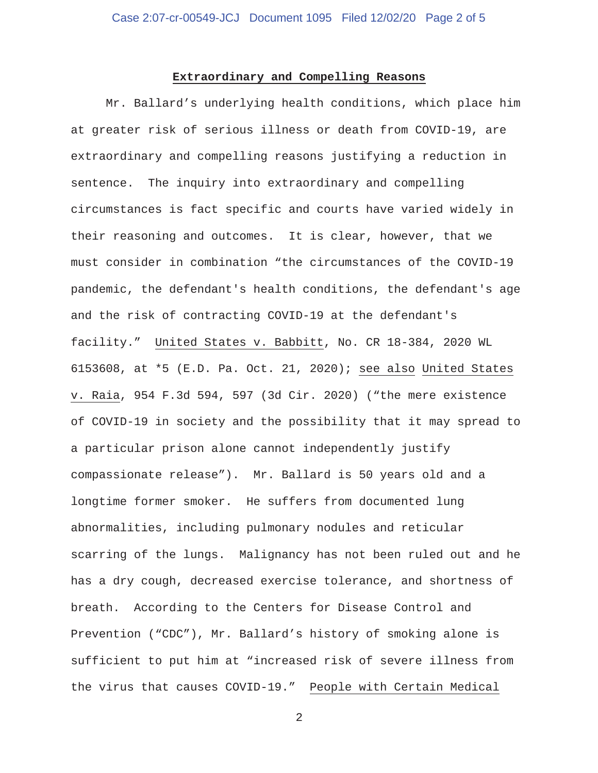### **Extraordinary and Compelling Reasons**

Mr. Ballard's underlying health conditions, which place him at greater risk of serious illness or death from COVID-19, are extraordinary and compelling reasons justifying a reduction in sentence. The inquiry into extraordinary and compelling circumstances is fact specific and courts have varied widely in their reasoning and outcomes. It is clear, however, that we must consider in combination "the circumstances of the COVID-19 pandemic, the defendant's health conditions, the defendant's age and the risk of contracting COVID-19 at the defendant's facility." United States v. Babbitt, No. CR 18-384, 2020 WL 6153608, at \*5 (E.D. Pa. Oct. 21, 2020); see also United States v. Raia, 954 F.3d 594, 597 (3d Cir. 2020) ("the mere existence of COVID-19 in society and the possibility that it may spread to a particular prison alone cannot independently justify compassionate release"). Mr. Ballard is 50 years old and a longtime former smoker. He suffers from documented lung abnormalities, including pulmonary nodules and reticular scarring of the lungs. Malignancy has not been ruled out and he has a dry cough, decreased exercise tolerance, and shortness of breath. According to the Centers for Disease Control and Prevention ("CDC"), Mr. Ballard's history of smoking alone is sufficient to put him at "increased risk of severe illness from the virus that causes COVID-19." People with Certain Medical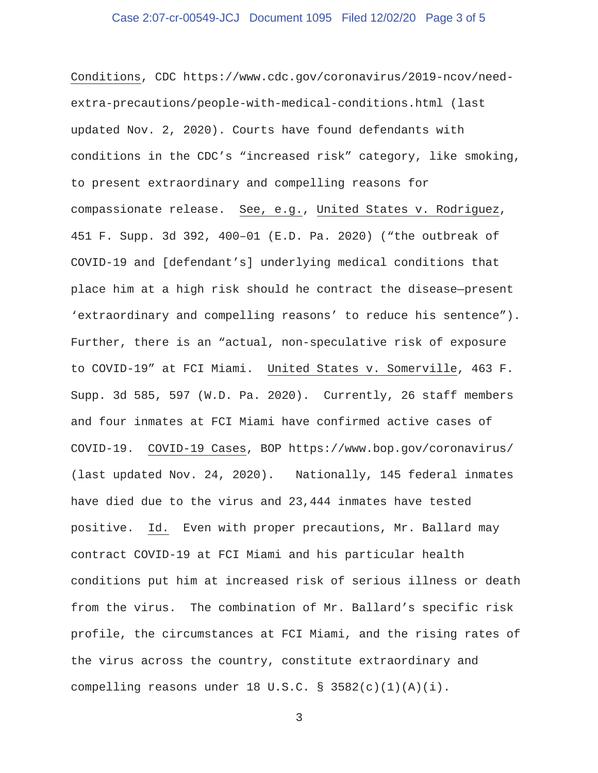# Case 2:07-cr-00549-JCJ Document 1095 Filed 12/02/20 Page 3 of 5

Conditions, CDC https://www.cdc.gov/coronavirus/2019-ncov/needextra-precautions/people-with-medical-conditions.html (last updated Nov. 2, 2020). Courts have found defendants with conditions in the CDC's "increased risk" category, like smoking, to present extraordinary and compelling reasons for compassionate release. See, e.g., United States v. Rodriguez, 451 F. Supp. 3d 392, 400–01 (E.D. Pa. 2020) ("the outbreak of COVID-19 and [defendant's] underlying medical conditions that place him at a high risk should he contract the disease—present 'extraordinary and compelling reasons' to reduce his sentence"). Further, there is an "actual, non-speculative risk of exposure to COVID-19" at FCI Miami. United States v. Somerville, 463 F. Supp. 3d 585, 597 (W.D. Pa. 2020). Currently, 26 staff members and four inmates at FCI Miami have confirmed active cases of COVID-19. COVID-19 Cases, BOP https://www.bop.gov/coronavirus/ (last updated Nov. 24, 2020). Nationally, 145 federal inmates have died due to the virus and 23,444 inmates have tested positive. Id. Even with proper precautions, Mr. Ballard may contract COVID-19 at FCI Miami and his particular health conditions put him at increased risk of serious illness or death from the virus. The combination of Mr. Ballard's specific risk profile, the circumstances at FCI Miami, and the rising rates of the virus across the country, constitute extraordinary and compelling reasons under 18 U.S.C.  $\S$  3582(c)(1)(A)(i).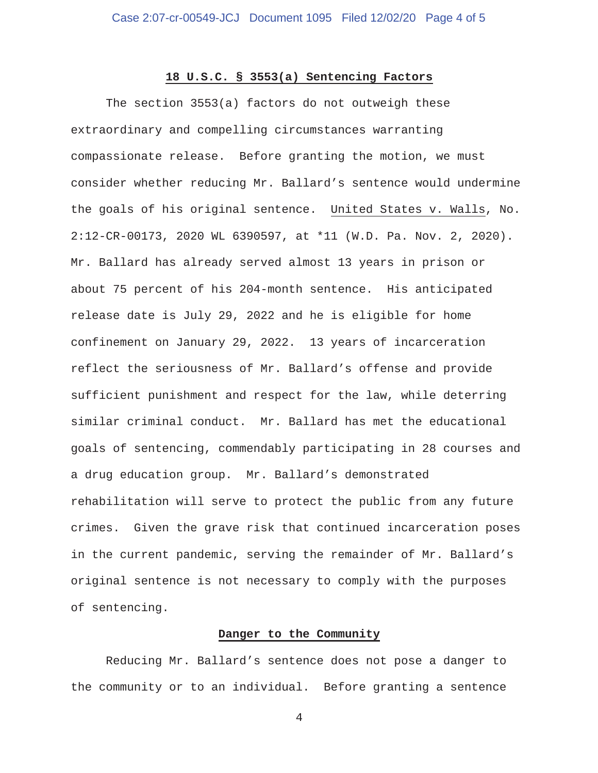# **18 U.S.C. § 3553(a) Sentencing Factors**

The section 3553(a) factors do not outweigh these extraordinary and compelling circumstances warranting compassionate release. Before granting the motion, we must consider whether reducing Mr. Ballard's sentence would undermine the goals of his original sentence. United States v. Walls, No. 2:12-CR-00173, 2020 WL 6390597, at \*11 (W.D. Pa. Nov. 2, 2020). Mr. Ballard has already served almost 13 years in prison or about 75 percent of his 204-month sentence. His anticipated release date is July 29, 2022 and he is eligible for home confinement on January 29, 2022. 13 years of incarceration reflect the seriousness of Mr. Ballard's offense and provide sufficient punishment and respect for the law, while deterring similar criminal conduct. Mr. Ballard has met the educational goals of sentencing, commendably participating in 28 courses and a drug education group. Mr. Ballard's demonstrated rehabilitation will serve to protect the public from any future crimes. Given the grave risk that continued incarceration poses in the current pandemic, serving the remainder of Mr. Ballard's original sentence is not necessary to comply with the purposes of sentencing.

### **Danger to the Community**

Reducing Mr. Ballard's sentence does not pose a danger to the community or to an individual. Before granting a sentence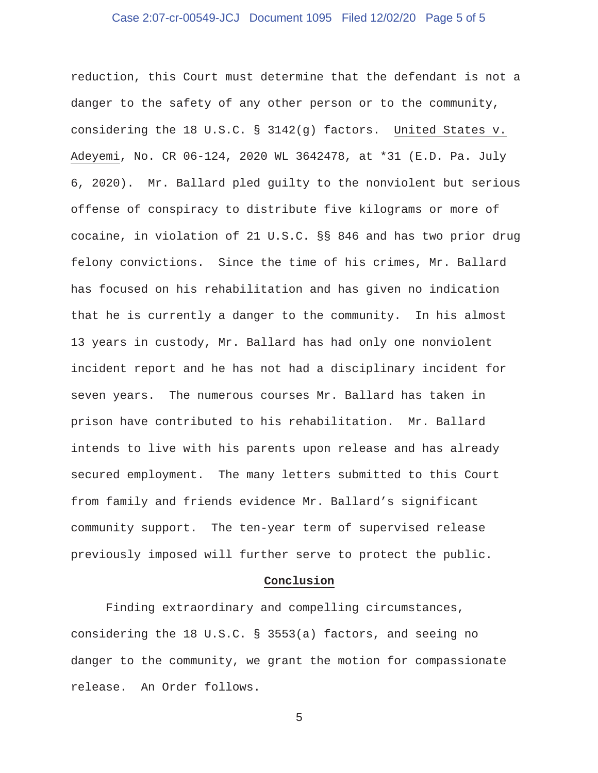# Case 2:07-cr-00549-JCJ Document 1095 Filed 12/02/20 Page 5 of 5

reduction, this Court must determine that the defendant is not a danger to the safety of any other person or to the community, considering the 18 U.S.C. § 3142(g) factors. United States v. Adeyemi, No. CR 06-124, 2020 WL 3642478, at \*31 (E.D. Pa. July 6, 2020). Mr. Ballard pled guilty to the nonviolent but serious offense of conspiracy to distribute five kilograms or more of cocaine, in violation of 21 U.S.C. §§ 846 and has two prior drug felony convictions. Since the time of his crimes, Mr. Ballard has focused on his rehabilitation and has given no indication that he is currently a danger to the community. In his almost 13 years in custody, Mr. Ballard has had only one nonviolent incident report and he has not had a disciplinary incident for seven years. The numerous courses Mr. Ballard has taken in prison have contributed to his rehabilitation. Mr. Ballard intends to live with his parents upon release and has already secured employment. The many letters submitted to this Court from family and friends evidence Mr. Ballard's significant community support. The ten-year term of supervised release previously imposed will further serve to protect the public.

# **Conclusion**

Finding extraordinary and compelling circumstances, considering the 18 U.S.C. § 3553(a) factors, and seeing no danger to the community, we grant the motion for compassionate release. An Order follows.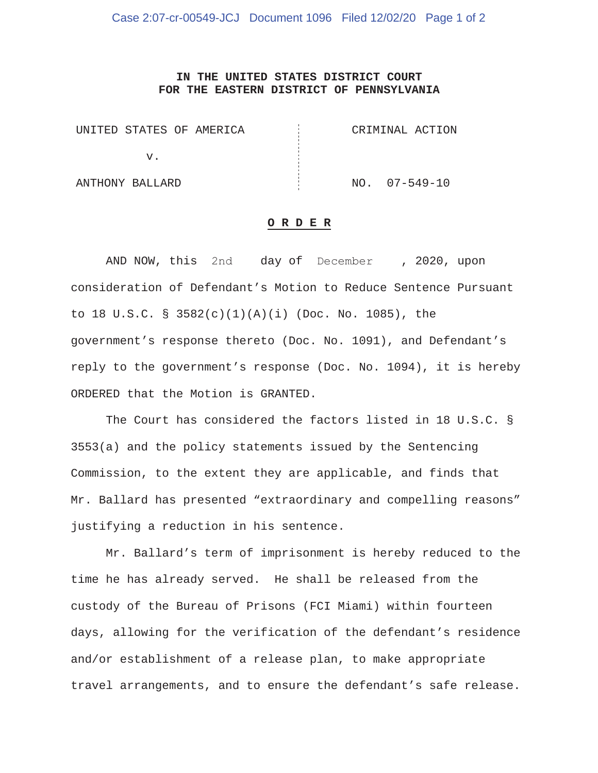# **IN THE UNITED STATES DISTRICT COURT FOR THE EASTERN DISTRICT OF PENNSYLVANIA**

| UNITED STATES OF AMERICA | CRIMINAL ACTION     |
|--------------------------|---------------------|
| v.                       |                     |
| ANTHONY RALLARD          | $NO. 07 - 549 - 10$ |

#### **O R D E R**

AND NOW, this 2nd day of December , 2020, upon consideration of Defendant's Motion to Reduce Sentence Pursuant to 18 U.S.C. § 3582(c)(1)(A)(i) (Doc. No. 1085), the government's response thereto (Doc. No. 1091), and Defendant's reply to the government's response (Doc. No. 1094), it is hereby ORDERED that the Motion is GRANTED.

The Court has considered the factors listed in 18 U.S.C. § 3553(a) and the policy statements issued by the Sentencing Commission, to the extent they are applicable, and finds that Mr. Ballard has presented "extraordinary and compelling reasons" justifying a reduction in his sentence.

Mr. Ballard's term of imprisonment is hereby reduced to the time he has already served. He shall be released from the custody of the Bureau of Prisons (FCI Miami) within fourteen days, allowing for the verification of the defendant's residence and/or establishment of a release plan, to make appropriate travel arrangements, and to ensure the defendant's safe release.